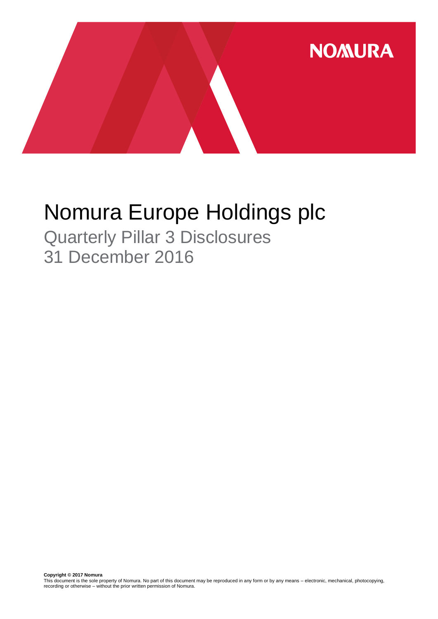

# Nomura Europe Holdings plc

Quarterly Pillar 3 Disclosures 31 December 2016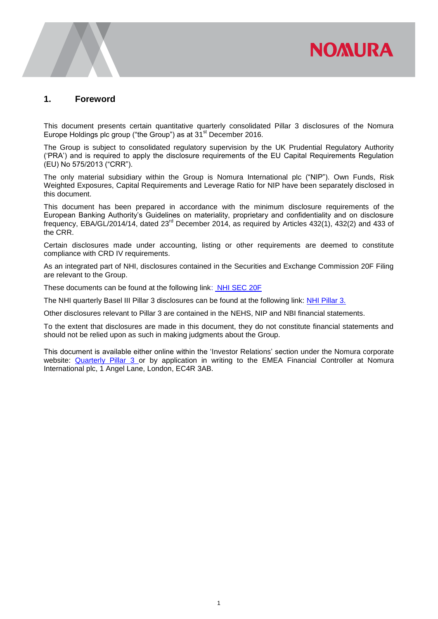# **NOMURA**

## **1. Foreword**

This document presents certain quantitative quarterly consolidated Pillar 3 disclosures of the Nomura Europe Holdings plc group ("the Group") as at 31<sup>st</sup> December 2016.

The Group is subject to consolidated regulatory supervision by the UK Prudential Regulatory Authority ('PRA') and is required to apply the disclosure requirements of the EU Capital Requirements Regulation (EU) No 575/2013 ("CRR").

The only material subsidiary within the Group is Nomura International plc ("NIP"). Own Funds, Risk Weighted Exposures, Capital Requirements and Leverage Ratio for NIP have been separately disclosed in this document.

This document has been prepared in accordance with the minimum disclosure requirements of the European Banking Authority's Guidelines on materiality, proprietary and confidentiality and on disclosure frequency, EBA/GL/2014/14, dated 23rd December 2014, as required by Articles 432(1), 432(2) and 433 of the CRR.

Certain disclosures made under accounting, listing or other requirements are deemed to constitute compliance with CRD IV requirements.

As an integrated part of NHI, disclosures contained in the Securities and Exchange Commission 20F Filing are relevant to the Group.

These documents can be found at the following link: [NHI SEC 20F](http://www.nomuraholdings.com/investor/library/sec/index.html)

The NHI quarterly Basel III Pillar 3 disclosures can be found at the following link: [NHI Pillar 3.](http://www.nomuraholdings.com/investor/summary/highlight/ratio.html)

Other disclosures relevant to Pillar 3 are contained in the NEHS, NIP and NBI financial statements.

To the extent that disclosures are made in this document, they do not constitute financial statements and should not be relied upon as such in making judgments about the Group.

This document is available either online within the 'Investor Relations' section under the Nomura corporate website: [Quarterly Pillar 3](https://www.nomuranow.com/portal/site/nnextranet/en/regulatory-disclosures/) or by application in writing to the EMEA Financial Controller at Nomura International plc, 1 Angel Lane, London, EC4R 3AB.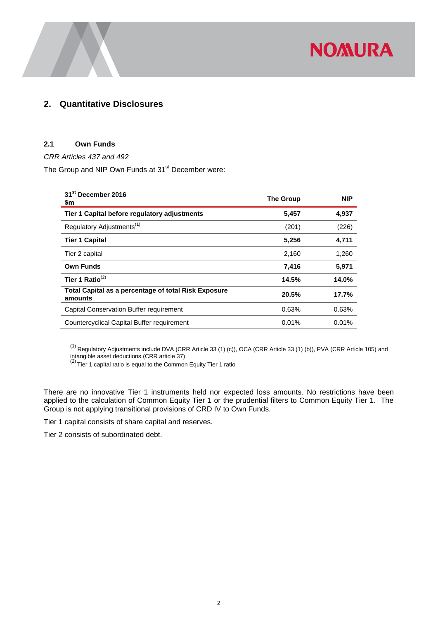

# **2. Quantitative Disclosures**

#### **2.1 Own Funds**

*CRR Articles 437 and 492* 

The Group and NIP Own Funds at 31<sup>st</sup> December were:

| 31 <sup>st</sup> December 2016<br>\$m                                  | <b>The Group</b> | <b>NIP</b> |
|------------------------------------------------------------------------|------------------|------------|
| Tier 1 Capital before regulatory adjustments                           | 5,457            | 4,937      |
| Regulatory Adjustments <sup>(1)</sup>                                  | (201)            | (226)      |
| <b>Tier 1 Capital</b>                                                  | 5,256            | 4,711      |
| Tier 2 capital                                                         | 2,160            | 1,260      |
| <b>Own Funds</b>                                                       | 7,416            | 5,971      |
| Tier 1 Ratio $^{(2)}$                                                  | 14.5%            | 14.0%      |
| <b>Total Capital as a percentage of total Risk Exposure</b><br>amounts | 20.5%            | 17.7%      |
| Capital Conservation Buffer requirement                                | 0.63%            | 0.63%      |
| Countercyclical Capital Buffer requirement                             | 0.01%            | 0.01%      |

 $^{(1)}$  Regulatory Adjustments include DVA (CRR Article 33 (1) (c)), OCA (CRR Article 33 (1) (b)), PVA (CRR Article 105) and

intangible asset deductions (CRR article 37)<br><sup>(2)</sup> Tier 1 capital ratio is equal to the Common Equity Tier 1 ratio

There are no innovative Tier 1 instruments held nor expected loss amounts. No restrictions have been applied to the calculation of Common Equity Tier 1 or the prudential filters to Common Equity Tier 1. The Group is not applying transitional provisions of CRD IV to Own Funds.

Tier 1 capital consists of share capital and reserves.

Tier 2 consists of subordinated debt.